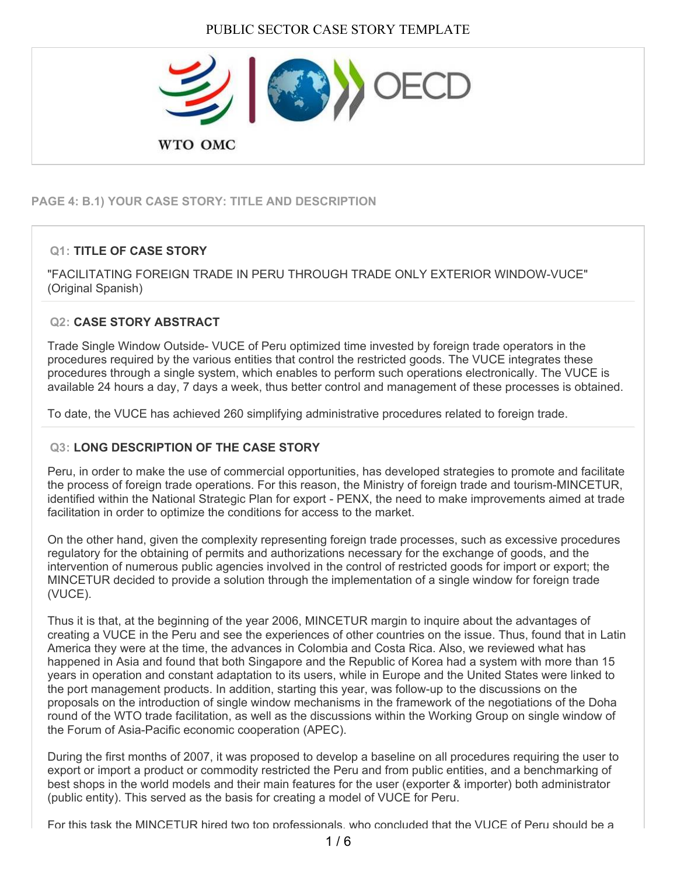

# **PAGE 4: B.1) YOUR CASE STORY: TITLE AND DESCRIPTION**

## **Q1: TITLE OF CASE STORY**

"FACILITATING FOREIGN TRADE IN PERU THROUGH TRADE ONLY EXTERIOR WINDOW-VUCE" (Original Spanish)

### **Q2: CASE STORY ABSTRACT**

Trade Single Window Outside- VUCE of Peru optimized time invested by foreign trade operators in the procedures required by the various entities that control the restricted goods. The VUCE integrates these procedures through a single system, which enables to perform such operations electronically. The VUCE is available 24 hours a day, 7 days a week, thus better control and management of these processes is obtained.

To date, the VUCE has achieved 260 simplifying administrative procedures related to foreign trade.

### **Q3: LONG DESCRIPTION OF THE CASE STORY**

Peru, in order to make the use of commercial opportunities, has developed strategies to promote and facilitate the process of foreign trade operations. For this reason, the Ministry of foreign trade and tourism-MINCETUR, identified within the National Strategic Plan for export - PENX, the need to make improvements aimed at trade facilitation in order to optimize the conditions for access to the market.

On the other hand, given the complexity representing foreign trade processes, such as excessive procedures regulatory for the obtaining of permits and authorizations necessary for the exchange of goods, and the intervention of numerous public agencies involved in the control of restricted goods for import or export; the MINCETUR decided to provide a solution through the implementation of a single window for foreign trade (VUCE).

Thus it is that, at the beginning of the year 2006, MINCETUR margin to inquire about the advantages of creating a VUCE in the Peru and see the experiences of other countries on the issue. Thus, found that in Latin America they were at the time, the advances in Colombia and Costa Rica. Also, we reviewed what has happened in Asia and found that both Singapore and the Republic of Korea had a system with more than 15 years in operation and constant adaptation to its users, while in Europe and the United States were linked to the port management products. In addition, starting this year, was follow-up to the discussions on the proposals on the introduction of single window mechanisms in the framework of the negotiations of the Doha round of the WTO trade facilitation, as well as the discussions within the Working Group on single window of the Forum of Asia-Pacific economic cooperation (APEC).

During the first months of 2007, it was proposed to develop a baseline on all procedures requiring the user to export or import a product or commodity restricted the Peru and from public entities, and a benchmarking of best shops in the world models and their main features for the user (exporter & importer) both administrator (public entity). This served as the basis for creating a model of VUCE for Peru.

For this task the MINCETUR hired two top professionals, who concluded that the VUCE of Peru should be a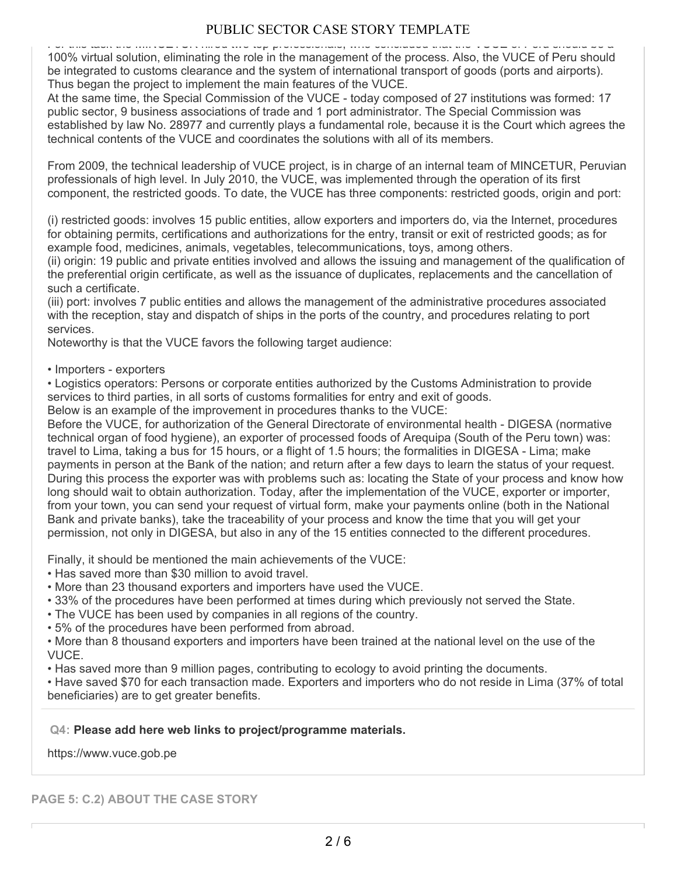# PUBLIC SECTOR CASE STORY TEMPLATE

For this task the MINCETUR hired two top professionals, who concluded that the VUCE of Peru should be a 100% virtual solution, eliminating the role in the management of the process. Also, the VUCE of Peru should be integrated to customs clearance and the system of international transport of goods (ports and airports). Thus began the project to implement the main features of the VUCE.

At the same time, the Special Commission of the VUCE - today composed of 27 institutions was formed: 17 public sector, 9 business associations of trade and 1 port administrator. The Special Commission was established by law No. 28977 and currently plays a fundamental role, because it is the Court which agrees the technical contents of the VUCE and coordinates the solutions with all of its members.

From 2009, the technical leadership of VUCE project, is in charge of an internal team of MINCETUR, Peruvian professionals of high level. In July 2010, the VUCE, was implemented through the operation of its first component, the restricted goods. To date, the VUCE has three components: restricted goods, origin and port:

(i) restricted goods: involves 15 public entities, allow exporters and importers do, via the Internet, procedures for obtaining permits, certifications and authorizations for the entry, transit or exit of restricted goods; as for example food, medicines, animals, vegetables, telecommunications, toys, among others.

(ii) origin: 19 public and private entities involved and allows the issuing and management of the qualification of the preferential origin certificate, as well as the issuance of duplicates, replacements and the cancellation of such a certificate.

(iii) port: involves 7 public entities and allows the management of the administrative procedures associated with the reception, stay and dispatch of ships in the ports of the country, and procedures relating to port services.

Noteworthy is that the VUCE favors the following target audience:

• Importers - exporters

• Logistics operators: Persons or corporate entities authorized by the Customs Administration to provide services to third parties, in all sorts of customs formalities for entry and exit of goods.

Below is an example of the improvement in procedures thanks to the VUCE:

Before the VUCE, for authorization of the General Directorate of environmental health - DIGESA (normative technical organ of food hygiene), an exporter of processed foods of Arequipa (South of the Peru town) was: travel to Lima, taking a bus for 15 hours, or a flight of 1.5 hours; the formalities in DIGESA - Lima; make payments in person at the Bank of the nation; and return after a few days to learn the status of your request. During this process the exporter was with problems such as: locating the State of your process and know how long should wait to obtain authorization. Today, after the implementation of the VUCE, exporter or importer, from your town, you can send your request of virtual form, make your payments online (both in the National Bank and private banks), take the traceability of your process and know the time that you will get your permission, not only in DIGESA, but also in any of the 15 entities connected to the different procedures.

Finally, it should be mentioned the main achievements of the VUCE:

- Has saved more than \$30 million to avoid travel.
- More than 23 thousand exporters and importers have used the VUCE.
- 33% of the procedures have been performed at times during which previously not served the State.
- The VUCE has been used by companies in all regions of the country.
- 5% of the procedures have been performed from abroad.

• More than 8 thousand exporters and importers have been trained at the national level on the use of the VUCE.

• Has saved more than 9 million pages, contributing to ecology to avoid printing the documents.

• Have saved \$70 for each transaction made. Exporters and importers who do not reside in Lima (37% of total beneficiaries) are to get greater benefits.

#### **Q4: Please add here web links to project/programme materials.**

https://www.vuce.gob.pe

### **PAGE 5: C.2) ABOUT THE CASE STORY**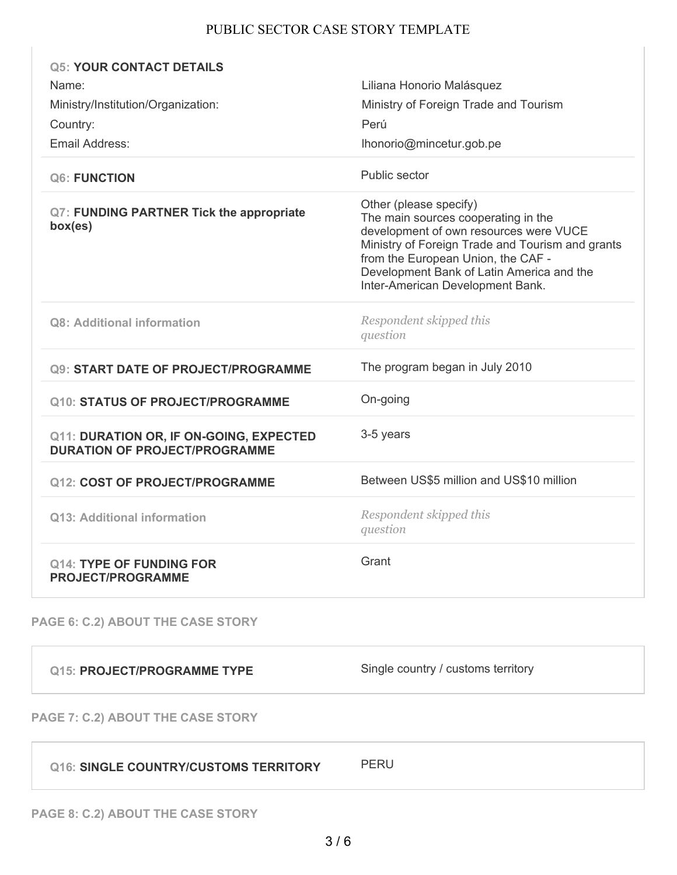## PUBLIC SECTOR CASE STORY TEMPLATE

| <b>Q5: YOUR CONTACT DETAILS</b>                                                        |                                                                                                                                                                                                                                                                                    |
|----------------------------------------------------------------------------------------|------------------------------------------------------------------------------------------------------------------------------------------------------------------------------------------------------------------------------------------------------------------------------------|
| Name:                                                                                  | Liliana Honorio Malásquez                                                                                                                                                                                                                                                          |
| Ministry/Institution/Organization:                                                     | Ministry of Foreign Trade and Tourism                                                                                                                                                                                                                                              |
| Country:                                                                               | Perú                                                                                                                                                                                                                                                                               |
| Email Address:                                                                         | lhonorio@mincetur.gob.pe                                                                                                                                                                                                                                                           |
| <b>Q6: FUNCTION</b>                                                                    | Public sector                                                                                                                                                                                                                                                                      |
| <b>Q7: FUNDING PARTNER Tick the appropriate</b><br>box(es)                             | Other (please specify)<br>The main sources cooperating in the<br>development of own resources were VUCE<br>Ministry of Foreign Trade and Tourism and grants<br>from the European Union, the CAF -<br>Development Bank of Latin America and the<br>Inter-American Development Bank. |
| <b>Q8: Additional information</b>                                                      | Respondent skipped this<br>question                                                                                                                                                                                                                                                |
| <b>Q9: START DATE OF PROJECT/PROGRAMME</b>                                             | The program began in July 2010                                                                                                                                                                                                                                                     |
| <b>Q10: STATUS OF PROJECT/PROGRAMME</b>                                                | On-going                                                                                                                                                                                                                                                                           |
| <b>Q11: DURATION OR, IF ON-GOING, EXPECTED</b><br><b>DURATION OF PROJECT/PROGRAMME</b> | 3-5 years                                                                                                                                                                                                                                                                          |
| <b>Q12: COST OF PROJECT/PROGRAMME</b>                                                  | Between US\$5 million and US\$10 million                                                                                                                                                                                                                                           |
| Q13: Additional information                                                            | Respondent skipped this<br>question                                                                                                                                                                                                                                                |
| <b>Q14: TYPE OF FUNDING FOR</b><br><b>PROJECT/PROGRAMME</b>                            | Grant                                                                                                                                                                                                                                                                              |
| <b>PAGE 6: C.2) ABOUT THE CASE STORY</b>                                               |                                                                                                                                                                                                                                                                                    |
| <b>Q15: PROJECT/PROGRAMME TYPE</b>                                                     | Single country / customs territory                                                                                                                                                                                                                                                 |

# **PAGE 7: C.2) ABOUT THE CASE STORY**

# **Q16: SINGLE COUNTRY/CUSTOMS TERRITORY** PERU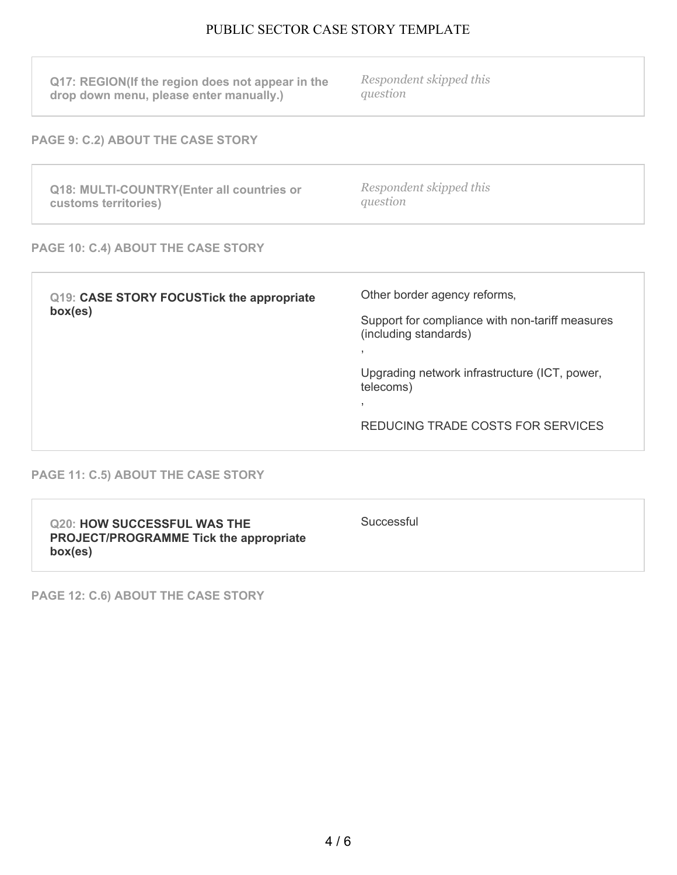# PUBLIC SECTOR CASE STORY TEMPLATE

| Q17: REGION(If the region does not appear in the<br>drop down menu, please enter manually.) | Respondent skipped this<br>question |  |
|---------------------------------------------------------------------------------------------|-------------------------------------|--|
| <b>PAGE 9: C.2) ABOUT THE CASE STORY</b>                                                    |                                     |  |
| Q18: MULTI-COUNTRY(Enter all countries or<br>customs territories)                           | Respondent skipped this<br>question |  |
| PAGE 10: C.4) ABOUT THE CASE STORY                                                          |                                     |  |
|                                                                                             |                                     |  |

| Q19: CASE STORY FOCUSTick the appropriate<br>box(es) | Other border agency reforms,                                             |
|------------------------------------------------------|--------------------------------------------------------------------------|
|                                                      | Support for compliance with non-tariff measures<br>(including standards) |
|                                                      | $\overline{\phantom{a}}$                                                 |
|                                                      | Upgrading network infrastructure (ICT, power,<br>telecoms)               |
|                                                      |                                                                          |
|                                                      | REDUCING TRADE COSTS FOR SERVICES                                        |
|                                                      |                                                                          |

### **PAGE 11: C.5) ABOUT THE CASE STORY**

**PAGE 12: C.6) ABOUT THE CASE STORY**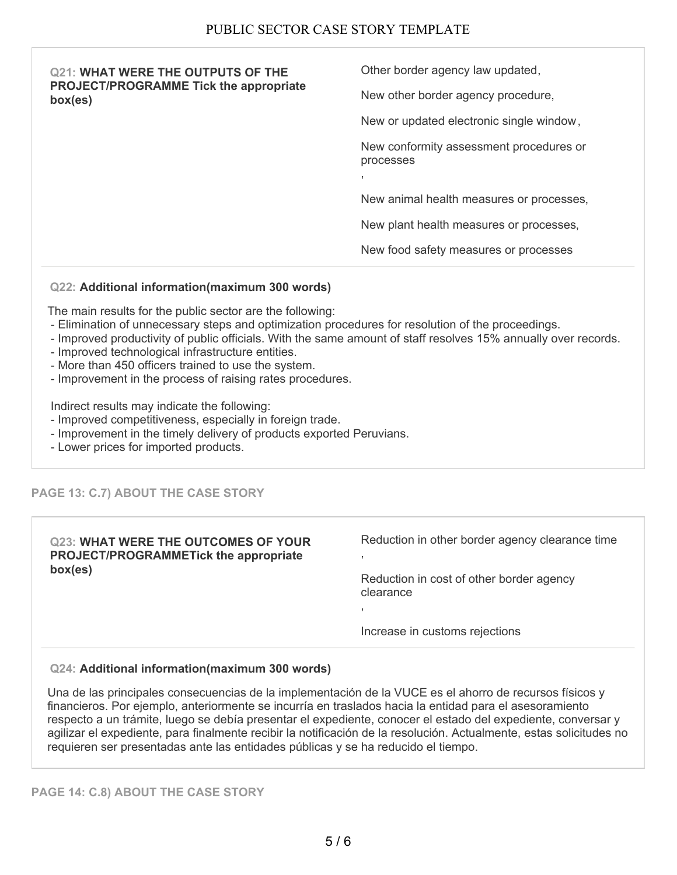| <b>Q21: WHAT WERE THE OUTPUTS OF THE</b><br><b>PROJECT/PROGRAMME Tick the appropriate</b><br>box(es) | Other border agency law updated,                     |
|------------------------------------------------------------------------------------------------------|------------------------------------------------------|
|                                                                                                      | New other border agency procedure,                   |
|                                                                                                      | New or updated electronic single window,             |
|                                                                                                      | New conformity assessment procedures or<br>processes |
|                                                                                                      |                                                      |
|                                                                                                      | New animal health measures or processes,             |
|                                                                                                      | New plant health measures or processes,              |
|                                                                                                      | New food safety measures or processes                |

#### **Q22: Additional information(maximum 300 words)**

The main results for the public sector are the following:

- Elimination of unnecessary steps and optimization procedures for resolution of the proceedings.
- Improved productivity of public officials. With the same amount of staff resolves 15% annually over records.
- Improved technological infrastructure entities.
- More than 450 officers trained to use the system.
- Improvement in the process of raising rates procedures.

Indirect results may indicate the following:

- Improved competitiveness, especially in foreign trade.
- Improvement in the timely delivery of products exported Peruvians.
- Lower prices for imported products.

## **PAGE 13: C.7) ABOUT THE CASE STORY**

| <b>Q23: WHAT WERE THE OUTCOMES OF YOUR</b><br>PROJECT/PROGRAMMETick the appropriate<br>box(es) | Reduction in other border agency clearance time       |
|------------------------------------------------------------------------------------------------|-------------------------------------------------------|
|                                                                                                | Reduction in cost of other border agency<br>clearance |
|                                                                                                | Increase in customs rejections                        |
|                                                                                                |                                                       |

### **Q24: Additional information(maximum 300 words)**

Una de las principales consecuencias de la implementación de la VUCE es el ahorro de recursos físicos y financieros. Por ejemplo, anteriormente se incurría en traslados hacia la entidad para el asesoramiento respecto a un trámite, luego se debía presentar el expediente, conocer el estado del expediente, conversar y agilizar el expediente, para finalmente recibir la notificación de la resolución. Actualmente, estas solicitudes no requieren ser presentadas ante las entidades públicas y se ha reducido el tiempo.